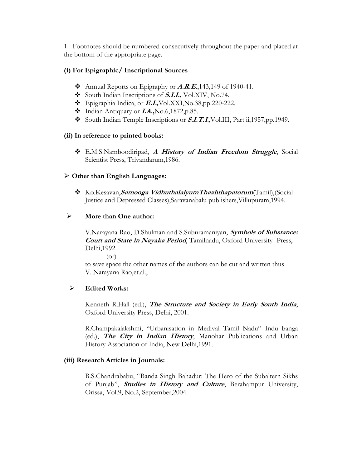1. Footnotes should be numbered consecutively throughout the paper and placed at the bottom of the appropriate page.

## **(i) For Epigraphic/ Inscriptional Sources**

- Annual Reports on Epigraphy or **A.R.E**.,143,149 of 1940-41.
- $\text{\textbullet}$  South Indian Inscriptions of **S.I.I.**, Vol.XIV, No.74.
- Epigraphia Indica, or **E.I.,**Vol.XXI,No.38,pp.220-222.
- Indian Antiquary or **I.A.,**No.6,1872,p.85.
- South Indian Temple Inscriptions or **S.I.T.I.**, Vol.III, Part ii, 1957, pp. 1949.

### **(ii) In reference to printed books:**

 E.M.S.Namboodiripad, **A History of Indian Freedom Struggle**, Social Scientist Press, Trivandarum,1986.

### **Other than English Languages:**

 Ko.Kesavan,**Samooga VidhuthalaiyumThazhthapatorum**(Tamil),(Social Justice and Depressed Classes),Saravanabalu publishers,Villupuram,1994.

## **More than One author:**

V.Narayana Rao, D.Shulman and S.Suburamaniyan, **Symbols of Substance: Court and State in Nayaka Period**, Tamilnadu, Oxford University Press, Delhi,1992.

 $($ or $)$ 

to save space the other names of the authors can be cut and written thus V. Narayana Rao,et.al.,

### **Edited Works:**

Kenneth R.Hall (ed.), **The Structure and Society in Early South India**, Oxford University Press, Delhi, 2001.

R.Champakalakshmi, "Urbanisation in Medival Tamil Nadu" Indu banga (ed.), **The City in Indian History**, Manohar Publications and Urban History Association of India, New Delhi,1991.

## **(iii) Research Articles in Journals:**

B.S.Chandrababu, "Banda Singh Bahadur: The Hero of the Subaltern Sikhs of Punjab", **Studies in History and Culture**, Berahampur University, Orissa, Vol.9, No.2, September,2004.